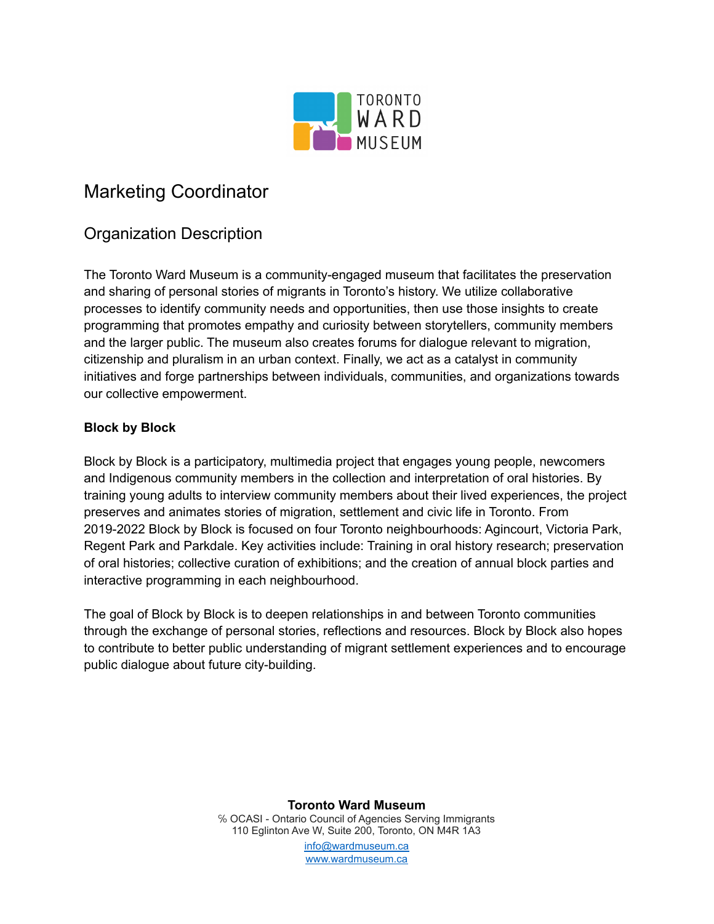

# Marketing Coordinator

# Organization Description

The Toronto Ward Museum is a community-engaged museum that facilitates the preservation and sharing of personal stories of migrants in Toronto's history. We utilize collaborative processes to identify community needs and opportunities, then use those insights to create programming that promotes empathy and curiosity between storytellers, community members and the larger public. The museum also creates forums for dialogue relevant to migration, citizenship and pluralism in an urban context. Finally, we act as a catalyst in community initiatives and forge partnerships between individuals, communities, and organizations towards our collective empowerment.

### **Block by Block**

Block by Block is a participatory, multimedia project that engages young people, newcomers and Indigenous community members in the collection and interpretation of oral histories. By training young adults to interview community members about their lived experiences, the project preserves and animates stories of migration, settlement and civic life in Toronto. From 2019-2022 Block by Block is focused on four Toronto neighbourhoods: Agincourt, Victoria Park, Regent Park and Parkdale. Key activities include: Training in oral history research; preservation of oral histories; collective curation of exhibitions; and the creation of annual block parties and interactive programming in each neighbourhood.

The goal of Block by Block is to deepen relationships in and between Toronto communities through the exchange of personal stories, reflections and resources. Block by Block also hopes to contribute to better public understanding of migrant settlement experiences and to encourage public dialogue about future city-building.

> **Toronto Ward Museum** ℅ OCASI - Ontario Council of Agencies Serving Immigrants 110 Eglinton Ave W, Suite 200, Toronto, ON M4R 1A3 [info@wardmuseum.ca](mailto:info@wardmuseum.ca) [www.wardmuseum.ca](http://www.wardmuseum.ca)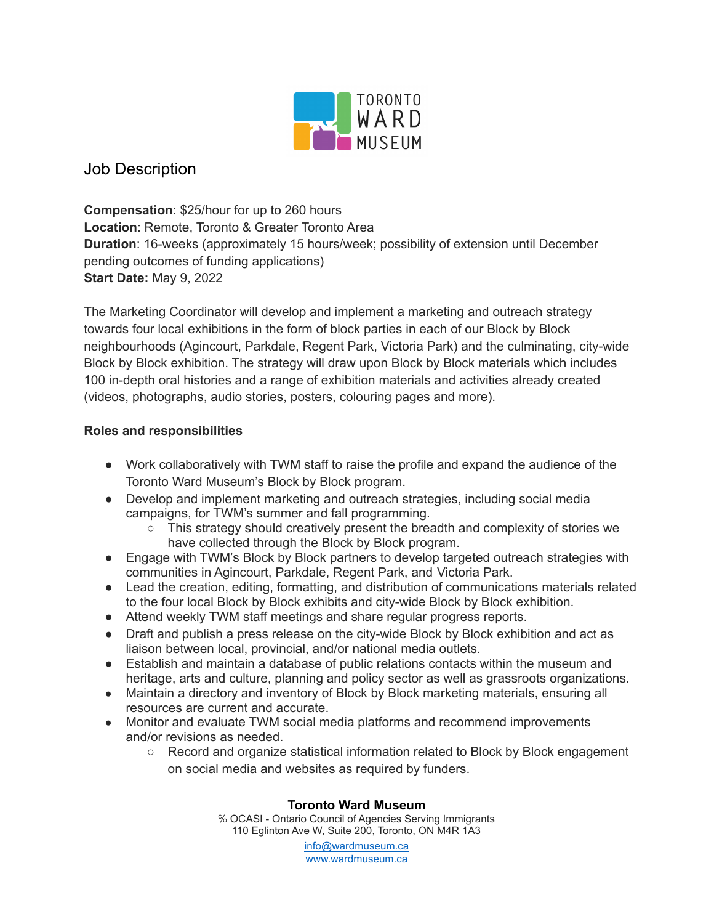

## Job Description

**Compensation**: \$25/hour for up to 260 hours **Location**: Remote, Toronto & Greater Toronto Area **Duration**: 16-weeks (approximately 15 hours/week; possibility of extension until December pending outcomes of funding applications) **Start Date:** May 9, 2022

The Marketing Coordinator will develop and implement a marketing and outreach strategy towards four local exhibitions in the form of block parties in each of our Block by Block neighbourhoods (Agincourt, Parkdale, Regent Park, Victoria Park) and the culminating, city-wide Block by Block exhibition. The strategy will draw upon Block by Block materials which includes 100 in-depth oral histories and a range of exhibition materials and activities already created (videos, photographs, audio stories, posters, colouring pages and more).

### **Roles and responsibilities**

- Work collaboratively with TWM staff to raise the profile and expand the audience of the Toronto Ward Museum's Block by Block program.
- Develop and implement marketing and outreach strategies, including social media campaigns, for TWM's summer and fall programming.
	- This strategy should creatively present the breadth and complexity of stories we have collected through the Block by Block program.
- Engage with TWM's Block by Block partners to develop targeted outreach strategies with communities in Agincourt, Parkdale, Regent Park, and Victoria Park.
- Lead the creation, editing, formatting, and distribution of communications materials related to the four local Block by Block exhibits and city-wide Block by Block exhibition.
- Attend weekly TWM staff meetings and share regular progress reports.
- Draft and publish a press release on the city-wide Block by Block exhibition and act as liaison between local, provincial, and/or national media outlets.
- Establish and maintain a database of public relations contacts within the museum and heritage, arts and culture, planning and policy sector as well as grassroots organizations.
- Maintain a directory and inventory of Block by Block marketing materials, ensuring all resources are current and accurate.
- Monitor and evaluate TWM social media platforms and recommend improvements and/or revisions as needed.
	- Record and organize statistical information related to Block by Block engagement on social media and websites as required by funders.

#### **Toronto Ward Museum**

℅ OCASI - Ontario Council of Agencies Serving Immigrants 110 Eglinton Ave W, Suite 200, Toronto, ON M4R 1A3

[info@wardmuseum.ca](mailto:info@wardmuseum.ca) [www.wardmuseum.ca](http://www.wardmuseum.ca)